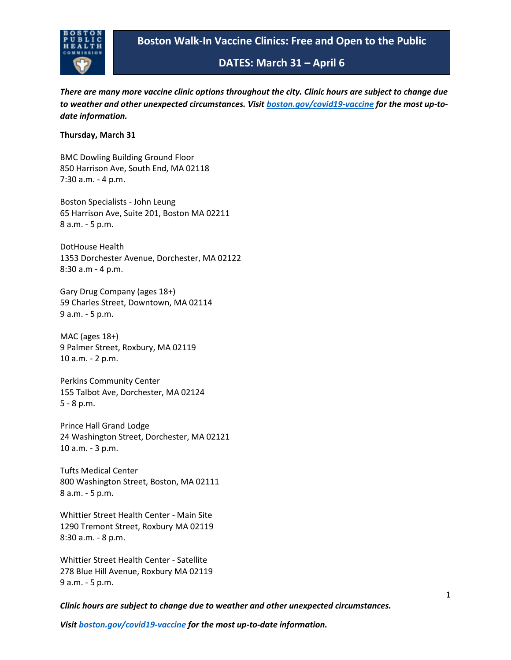

**DATES: March 31 – April 6**

*There are many more vaccine clinic options throughout the city. Clinic hours are subject to change due to weather and other unexpected circumstances. Visit [boston.gov/covid19-vaccine](https://gcc02.safelinks.protection.outlook.com/?url=http%3A%2F%2Fboston.gov%2Fcovid19-vaccine&data=04%7C01%7CJKaiser%40bphc.org%7Cdf6949f5a0b64e08ac8c08da1279ac1a%7Cff5b5bc8925b471f942aeb176c03ab36%7C1%7C0%7C637842611027898246%7CUnknown%7CTWFpbGZsb3d8eyJWIjoiMC4wLjAwMDAiLCJQIjoiV2luMzIiLCJBTiI6Ik1haWwiLCJXVCI6Mn0%3D%7C3000&sdata=lW1da3fMnxocxdJFAHGl1BzvuF0FhVdSvi8ZOX%2BiBaY%3D&reserved=0) for the most up-todate information.*

### **Thursday, March 31**

BMC Dowling Building Ground Floor 850 Harrison Ave, South End, MA 02118 7:30 a.m. - 4 p.m.

Boston Specialists - John Leung 65 Harrison Ave, Suite 201, Boston MA 02211 8 a.m. - 5 p.m.

DotHouse Health 1353 Dorchester Avenue, Dorchester, MA 02122 8:30 a.m - 4 p.m.

Gary Drug Company (ages 18+) 59 Charles Street, Downtown, MA 02114 9 a.m. - 5 p.m.

MAC (ages 18+) 9 Palmer Street, Roxbury, MA 02119 10 a.m. - 2 p.m.

Perkins Community Center 155 Talbot Ave, Dorchester, MA 02124 5 - 8 p.m.

Prince Hall Grand Lodge 24 Washington Street, Dorchester, MA 02121 10 a.m. - 3 p.m.

Tufts Medical Center 800 Washington Street, Boston, MA 02111 8 a.m. - 5 p.m.

Whittier Street Health Center - Main Site 1290 Tremont Street, Roxbury MA 02119 8:30 a.m. - 8 p.m.

Whittier Street Health Center - Satellite 278 Blue Hill Avenue, Roxbury MA 02119 9 a.m. - 5 p.m.

*Clinic hours are subject to change due to weather and other unexpected circumstances.*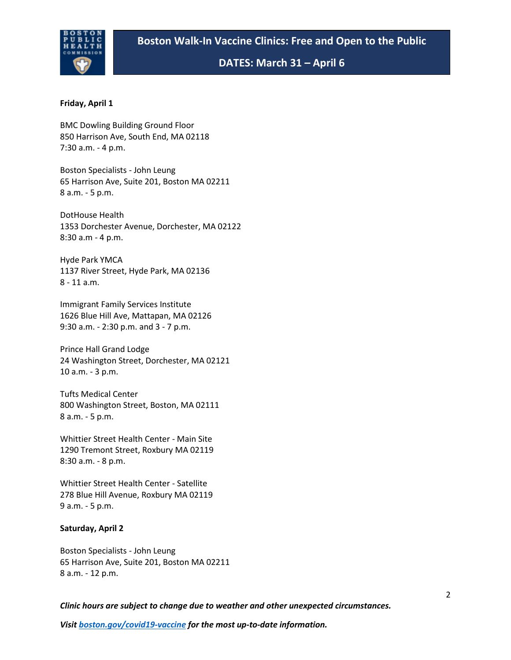

## **DATES: March 31 – April 6**

### **Friday, April 1**

BMC Dowling Building Ground Floor 850 Harrison Ave, South End, MA 02118 7:30 a.m. - 4 p.m.

Boston Specialists - John Leung 65 Harrison Ave, Suite 201, Boston MA 02211 8 a.m. - 5 p.m.

DotHouse Health 1353 Dorchester Avenue, Dorchester, MA 02122 8:30 a.m - 4 p.m.

Hyde Park YMCA 1137 River Street, Hyde Park, MA 02136 8 - 11 a.m.

Immigrant Family Services Institute 1626 Blue Hill Ave, Mattapan, MA 02126 9:30 a.m. - 2:30 p.m. and 3 - 7 p.m.

Prince Hall Grand Lodge 24 Washington Street, Dorchester, MA 02121 10 a.m. - 3 p.m.

Tufts Medical Center 800 Washington Street, Boston, MA 02111 8 a.m. - 5 p.m.

Whittier Street Health Center - Main Site 1290 Tremont Street, Roxbury MA 02119 8:30 a.m. - 8 p.m.

Whittier Street Health Center - Satellite 278 Blue Hill Avenue, Roxbury MA 02119 9 a.m. - 5 p.m.

#### **Saturday, April 2**

Boston Specialists - John Leung 65 Harrison Ave, Suite 201, Boston MA 02211 8 a.m. - 12 p.m.

*Clinic hours are subject to change due to weather and other unexpected circumstances.*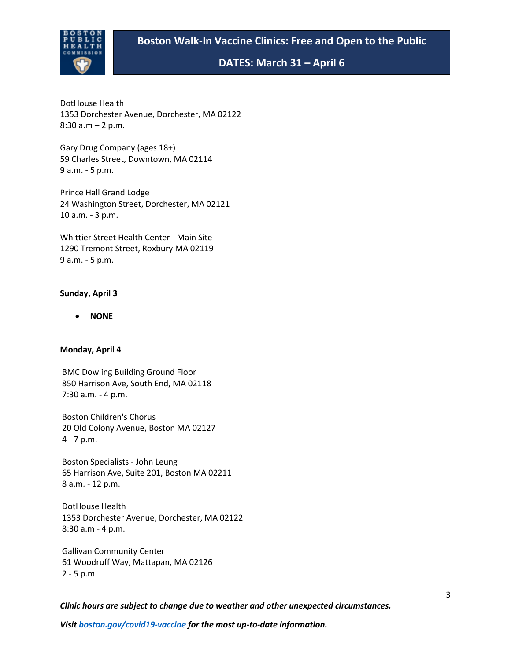# **Boston Walk-In Vaccine Clinics: Free and Open to the Public**



**DATES: March 31 – April 6**

DotHouse Health 1353 Dorchester Avenue, Dorchester, MA 02122 8:30 a.m – 2 p.m.

Gary Drug Company (ages 18+) 59 Charles Street, Downtown, MA 02114 9 a.m. - 5 p.m.

Prince Hall Grand Lodge 24 Washington Street, Dorchester, MA 02121 10 a.m. - 3 p.m.

Whittier Street Health Center - Main Site 1290 Tremont Street, Roxbury MA 02119 9 a.m. - 5 p.m.

### **Sunday, April 3**

• **NONE**

#### **Monday, April 4**

BMC Dowling Building Ground Floor 850 Harrison Ave, South End, MA 02118 7:30 a.m. - 4 p.m.

Boston Children's Chorus 20 Old Colony Avenue, Boston MA 02127 4 - 7 p.m.

Boston Specialists - John Leung 65 Harrison Ave, Suite 201, Boston MA 02211 8 a.m. - 12 p.m.

DotHouse Health 1353 Dorchester Avenue, Dorchester, MA 02122 8:30 a.m - 4 p.m.

Gallivan Community Center 61 Woodruff Way, Mattapan, MA 02126 2 - 5 p.m.

*Clinic hours are subject to change due to weather and other unexpected circumstances.*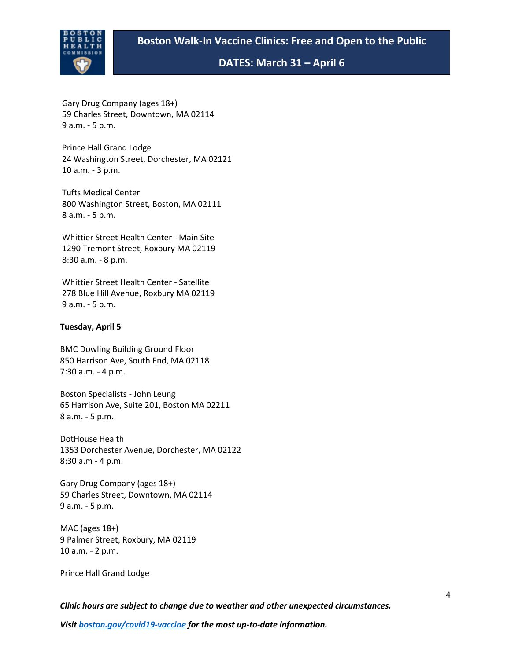

**DATES: March 31 – April 6**

Gary Drug Company (ages 18+) 59 Charles Street, Downtown, MA 02114 9 a.m. - 5 p.m.

Prince Hall Grand Lodge 24 Washington Street, Dorchester, MA 02121 10 a.m. - 3 p.m.

Tufts Medical Center 800 Washington Street, Boston, MA 02111 8 a.m. - 5 p.m. 

Whittier Street Health Center - Main Site 1290 Tremont Street, Roxbury MA 02119 8:30 a.m. - 8 p.m.

Whittier Street Health Center - Satellite  278 Blue Hill Avenue, Roxbury MA 02119 9 a.m. - 5 p.m.

## **Tuesday, April 5**

BMC Dowling Building Ground Floor 850 Harrison Ave, South End, MA 02118 7:30 a.m. - 4 p.m.

Boston Specialists - John Leung 65 Harrison Ave, Suite 201, Boston MA 02211 8 a.m. - 5 p.m.

DotHouse Health 1353 Dorchester Avenue, Dorchester, MA 02122 8:30 a.m - 4 p.m.

Gary Drug Company (ages 18+) 59 Charles Street, Downtown, MA 02114 9 a.m. - 5 p.m.

MAC (ages 18+) 9 Palmer Street, Roxbury, MA 02119 10 a.m. - 2 p.m.

Prince Hall Grand Lodge

*Clinic hours are subject to change due to weather and other unexpected circumstances.*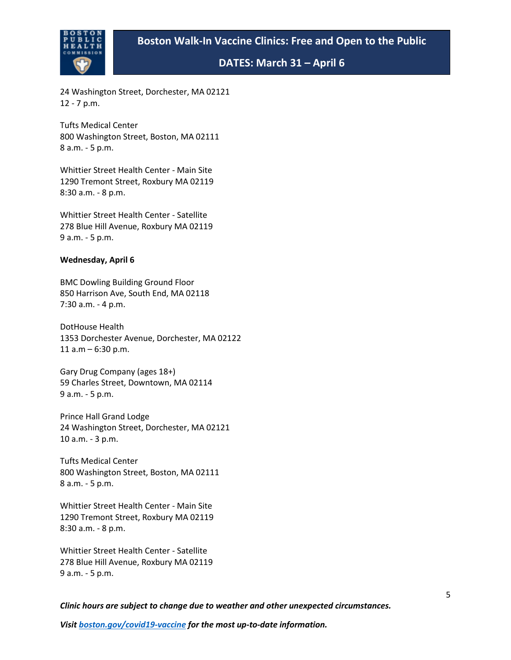# **Boston Walk-In Vaccine Clinics: Free and Open to the Public**



**DATES: March 31 – April 6**

24 Washington Street, Dorchester, MA 02121 12 - 7 p.m.

Tufts Medical Center 800 Washington Street, Boston, MA 02111 8 a.m. - 5 p.m.

Whittier Street Health Center - Main Site 1290 Tremont Street, Roxbury MA 02119 8:30 a.m. - 8 p.m.

Whittier Street Health Center - Satellite 278 Blue Hill Avenue, Roxbury MA 02119 9 a.m. - 5 p.m.

### **Wednesday, April 6**

BMC Dowling Building Ground Floor 850 Harrison Ave, South End, MA 02118 7:30 a.m. - 4 p.m.

DotHouse Health 1353 Dorchester Avenue, Dorchester, MA 02122 11  $a.m - 6:30 p.m.$ 

Gary Drug Company (ages 18+) 59 Charles Street, Downtown, MA 02114 9 a.m. - 5 p.m.

Prince Hall Grand Lodge 24 Washington Street, Dorchester, MA 02121 10 a.m. - 3 p.m.

Tufts Medical Center 800 Washington Street, Boston, MA 02111 8 a.m. - 5 p.m.

Whittier Street Health Center - Main Site 1290 Tremont Street, Roxbury MA 02119 8:30 a.m. - 8 p.m.

Whittier Street Health Center - Satellite 278 Blue Hill Avenue, Roxbury MA 02119 9 a.m. - 5 p.m.

*Clinic hours are subject to change due to weather and other unexpected circumstances.*